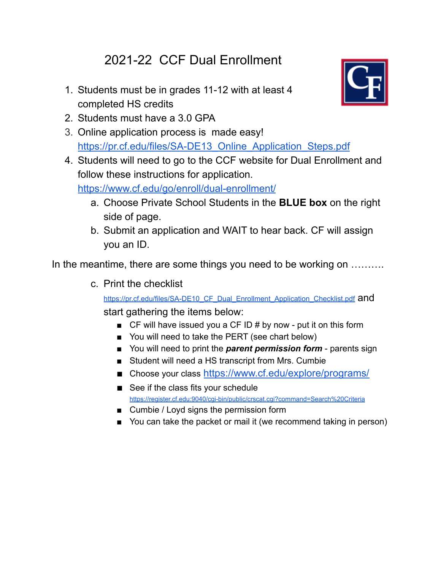## 2021-22 CCF Dual Enrollment

1. Students must be in grades 11-12 with at least 4 completed HS credits



- 2. Students must have a 3.0 GPA
- 3. Online application process is made easy! [https://pr.cf.edu/files/SA-DE13\\_Online\\_Application\\_Steps.pdf](https://pr.cf.edu/files/SA-DE13_Online_Application_Steps.pdf)
- 4. Students will need to go to the CCF website for Dual Enrollment and follow these instructions for application.

<https://www.cf.edu/go/enroll/dual-enrollment/>

- a. Choose Private School Students in the **BLUE box** on the right side of page.
- b. Submit an application and WAIT to hear back. CF will assign you an ID.

In the meantime, there are some things you need to be working on .........

c. Print the checklist

[https://pr.cf.edu/files/SA-DE10\\_CF\\_Dual\\_Enrollment\\_Application\\_Checklist.pdf](https://pr.cf.edu/files/SA-DE10_CF_Dual_Enrollment_Application_Checklist.pdf) and start gathering the items below:

- $\blacksquare$  CF will have issued you a CF ID # by now put it on this form
- You will need to take the PERT (see chart below)
- You will need to print the *parent permission form* parents sign
- Student will need a HS transcript from Mrs. Cumbie
- Choose your class <https://www.cf.edu/explore/programs/>
- See if the class fits your schedule <https://register.cf.edu:9040/cgi-bin/public/crscat.cgi?command=Search%20Criteria>
- Cumbie / Loyd signs the permission form
- You can take the packet or mail it (we recommend taking in person)